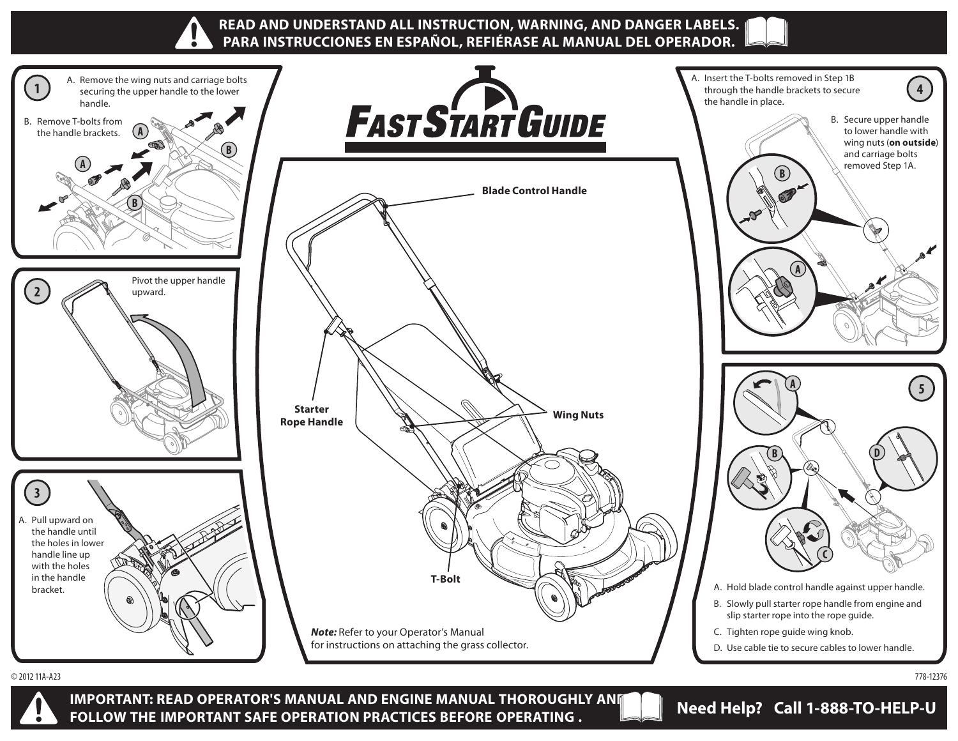



**IMPORTANT: READ OPERATOR'S MANUAL AND ENGINE MANUAL THOROUGHLY AND FOLLOW THE IMPORTANT SAFE OPERATION PRACTICES BEFORE OPERATING . Need Help? Call 1-888-TO-HELP-U**